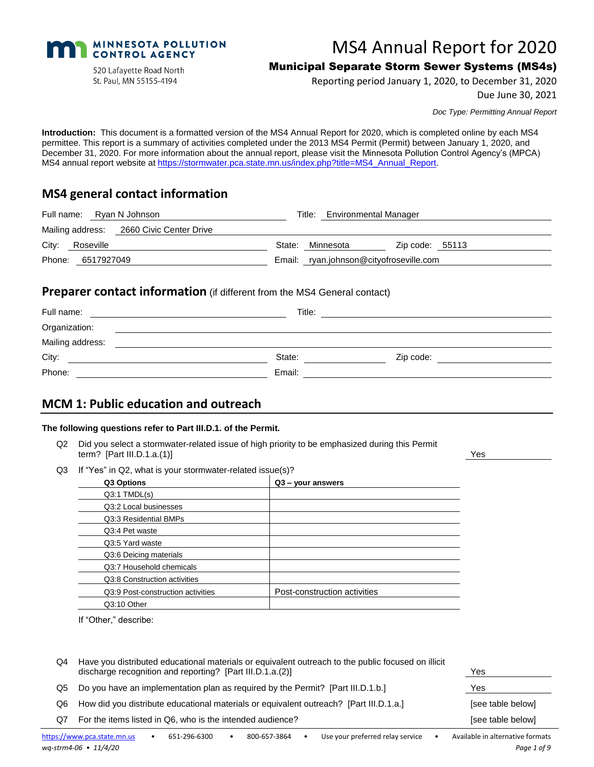

520 Lafayette Road North St. Paul, MN 55155-4194

# MS4 Annual Report for 2020

# Municipal Separate Storm Sewer Systems (MS4s)

Reporting period January 1, 2020, to December 31, 2020

Due June 30, 2021

*Doc Type: Permitting Annual Report*

**Introduction:** This document is a formatted version of the MS4 Annual Report for 2020, which is completed online by each MS4 permittee. This report is a summary of activities completed under the 2013 MS4 Permit (Permit) between January 1, 2020, and December 31, 2020. For more information about the annual report, please visit the Minnesota Pollution Control Agency's (MPCA) MS4 annual report website at [https://stormwater.pca.state.mn.us/index.php?title=MS4\\_Annual\\_Report.](https://stormwater.pca.state.mn.us/index.php?title=MS4_Annual_Report)

# **MS4 general contact information**

|       |                   | Full name: Ryan N Johnson                | Title: Environmental Manager |                                         |  |
|-------|-------------------|------------------------------------------|------------------------------|-----------------------------------------|--|
|       |                   | Mailing address: 2660 Civic Center Drive |                              |                                         |  |
| City: | Roseville         |                                          | State: Minnesota             | $\mathsf{Zip code:}$ 55113              |  |
|       | Phone: 6517927049 |                                          |                              | Email: ryan.johnson@cityofroseville.com |  |

### **Preparer contact information** (if different from the MS4 General contact)

| Full name:       | Title: |           |
|------------------|--------|-----------|
| Organization:    |        |           |
| Mailing address: |        |           |
| City:            | State: | Zip code: |
| Phone:           | Email: |           |

# **MCM 1: Public education and outreach**

#### **The following questions refer to Part III.D.1. of the Permit.**

- Q2 Did you select a stormwater-related issue of high priority to be emphasized during this Permit term? [Part III.D.1.a.(1)] Yes
- Q3 If "Yes" in Q2, what is your stormwater-related issue(s)?

| Q3 Options                        | Q3 - your answers            |
|-----------------------------------|------------------------------|
| $Q3:1$ TMDL $(s)$                 |                              |
| Q3:2 Local businesses             |                              |
| Q3:3 Residential BMPs             |                              |
| Q3:4 Pet waste                    |                              |
| Q3:5 Yard waste                   |                              |
| Q3:6 Deicing materials            |                              |
| Q3:7 Household chemicals          |                              |
| Q3:8 Construction activities      |                              |
| Q3:9 Post-construction activities | Post-construction activities |
| Q3:10 Other                       |                              |

If "Other," describe:

| Q4  | Have you distributed educational materials or equivalent outreach to the public focused on illicit<br>discharge recognition and reporting? [Part III.D.1.a.(2)] | Yes               |
|-----|-----------------------------------------------------------------------------------------------------------------------------------------------------------------|-------------------|
| Q5. | Do you have an implementation plan as required by the Permit? [Part III.D.1.b.]                                                                                 | Yes               |
| Q6  | How did you distribute educational materials or equivalent outreach? [Part III.D.1.a.]                                                                          | [see table below] |
| Q7  | For the items listed in Q6, who is the intended audience?                                                                                                       | [see table below] |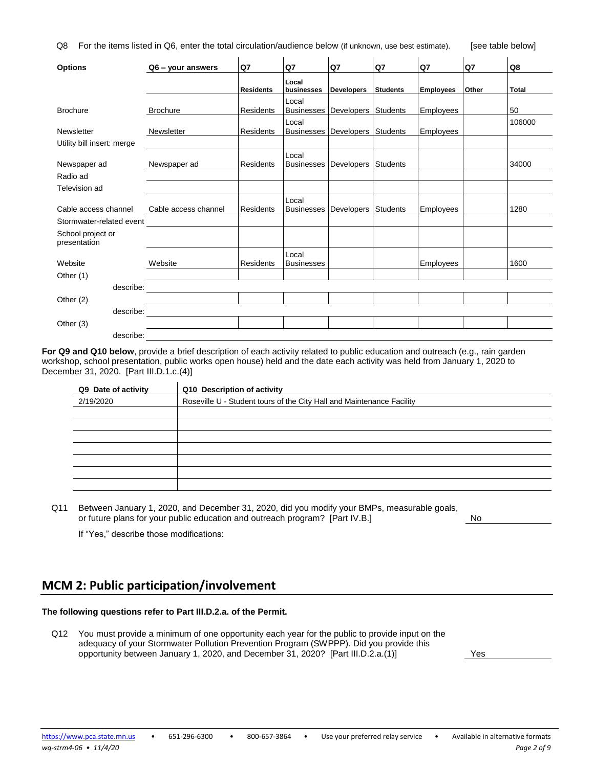Q8 For the items listed in Q6, enter the total circulation/audience below (if unknown, use best estimate). [see table below]

| <b>Options</b>                    | $Q6 - \gamma$ our answers          | Q7               | Q7                         | Q7                  | Q7              | Q7               | Q7    | Q8           |
|-----------------------------------|------------------------------------|------------------|----------------------------|---------------------|-----------------|------------------|-------|--------------|
|                                   |                                    | <b>Residents</b> | Local<br>businesses        | <b>Developers</b>   | <b>Students</b> | <b>Employees</b> | Other | <b>Total</b> |
| <b>Brochure</b>                   | <b>Brochure</b>                    | Residents        | Local<br><b>Businesses</b> | <b>Developers</b>   | Students        | Employees        |       | 50           |
| Newsletter                        | Newsletter                         | Residents        | Local<br><b>Businesses</b> | Developers Students |                 | Employees        |       | 106000       |
| Utility bill insert: merge        |                                    |                  |                            |                     |                 |                  |       |              |
| Newspaper ad                      | Newspaper ad                       | Residents        | Local<br><b>Businesses</b> | <b>Developers</b>   | Students        |                  |       | 34000        |
| Radio ad                          |                                    |                  |                            |                     |                 |                  |       |              |
| Television ad                     |                                    |                  |                            |                     |                 |                  |       |              |
| Cable access channel              | Cable access channel               | Residents        | Local<br><b>Businesses</b> | Developers          | Students        | Employees        |       | 1280         |
| Stormwater-related event          |                                    |                  |                            |                     |                 |                  |       |              |
| School project or<br>presentation |                                    |                  |                            |                     |                 |                  |       |              |
| Website                           | Website                            | Residents        | Local<br><b>Businesses</b> |                     |                 | Employees        |       | 1600         |
| Other (1)                         |                                    |                  |                            |                     |                 |                  |       |              |
|                                   |                                    |                  |                            |                     |                 |                  |       |              |
| Other $(2)$                       |                                    |                  |                            |                     |                 |                  |       |              |
|                                   | describe: ________________________ |                  |                            |                     |                 |                  |       |              |
| Other (3)                         |                                    |                  |                            |                     |                 |                  |       |              |
| describe:                         |                                    |                  |                            |                     |                 |                  |       |              |

**For Q9 and Q10 below**, provide a brief description of each activity related to public education and outreach (e.g., rain garden workshop, school presentation, public works open house) held and the date each activity was held from January 1, 2020 to December 31, 2020. [Part III.D.1.c.(4)]

| Q9 Date of activity | Q10 Description of activity                                           |
|---------------------|-----------------------------------------------------------------------|
| 2/19/2020           | Roseville U - Student tours of the City Hall and Maintenance Facility |
|                     |                                                                       |
|                     |                                                                       |
|                     |                                                                       |
|                     |                                                                       |
|                     |                                                                       |
|                     |                                                                       |
|                     |                                                                       |
|                     |                                                                       |

Q11 Between January 1, 2020, and December 31, 2020, did you modify your BMPs, measurable goals, or future plans for your public education and outreach program? [Part IV.B.] No

If "Yes," describe those modifications:

### **MCM 2: Public participation/involvement**

#### **The following questions refer to Part III.D.2.a. of the Permit.**

Q12 You must provide a minimum of one opportunity each year for the public to provide input on the adequacy of your Stormwater Pollution Prevention Program (SWPPP). Did you provide this opportunity between January 1, 2020, and December 31, 2020? [Part III.D.2.a.(1)] Yes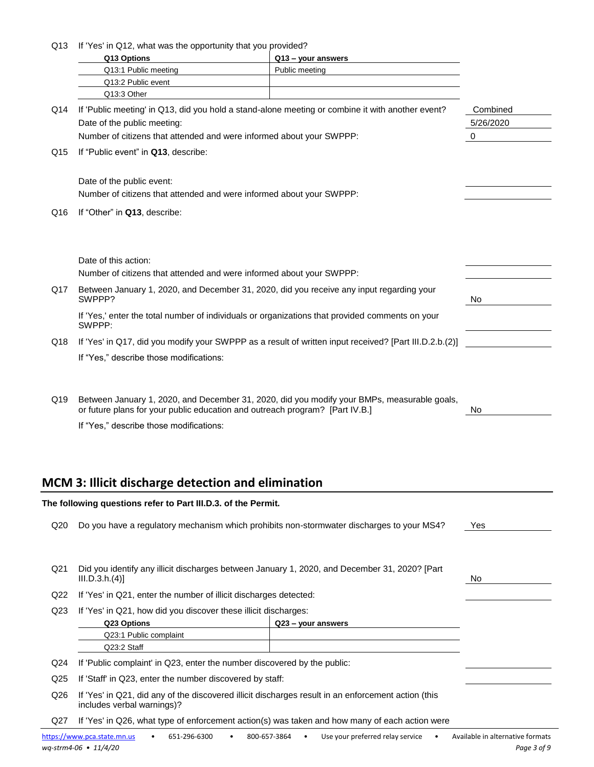| Q13 | If 'Yes' in Q12, what was the opportunity that you provided?                                     |                    |          |  |
|-----|--------------------------------------------------------------------------------------------------|--------------------|----------|--|
|     | Q13 Options                                                                                      | Q13 - your answers |          |  |
|     | Q13:1 Public meeting                                                                             | Public meeting     |          |  |
|     | Q13:2 Public event                                                                               |                    |          |  |
|     | Q13:3 Other                                                                                      |                    |          |  |
| Q14 | If 'Public meeting' in Q13, did you hold a stand-alone meeting or combine it with another event? |                    | Combined |  |
|     | Date of the public meeting:                                                                      |                    |          |  |
|     | Number of citizens that attended and were informed about your SWPPP:                             |                    | 0        |  |
| Q15 | If "Public event" in Q13, describe:                                                              |                    |          |  |
|     | Date of the public event:                                                                        |                    |          |  |
|     | Number of citizens that attended and were informed about your SWPPP:                             |                    |          |  |
| Q16 | If "Other" in Q13, describe:                                                                     |                    |          |  |

|     | Date of this action:<br>Number of citizens that attended and were informed about your SWPPP:              |     |
|-----|-----------------------------------------------------------------------------------------------------------|-----|
| Q17 | Between January 1, 2020, and December 31, 2020, did you receive any input regarding your<br>SWPPP?        | No. |
|     | If 'Yes,' enter the total number of individuals or organizations that provided comments on your<br>SWPPP: |     |
| Q18 | If 'Yes' in Q17, did you modify your SWPPP as a result of written input received? [Part III.D.2.b.(2)]    |     |
|     | If "Yes," describe those modifications:                                                                   |     |

Q19 Between January 1, 2020, and December 31, 2020, did you modify your BMPs, measurable goals, or future plans for your public education and outreach program? [Part IV.B.]

If "Yes," describe those modifications:

# **MCM 3: Illicit discharge detection and elimination**

| The following questions refer to Part III.D.3. of the Permit. |                                                                                                                                   |     |  |  |  |
|---------------------------------------------------------------|-----------------------------------------------------------------------------------------------------------------------------------|-----|--|--|--|
| Q <sub>20</sub>                                               | Do you have a regulatory mechanism which prohibits non-stormwater discharges to your MS4?                                         | Yes |  |  |  |
|                                                               |                                                                                                                                   |     |  |  |  |
| Q <sub>21</sub>                                               | Did you identify any illicit discharges between January 1, 2020, and December 31, 2020? [Part<br>III.D.3.h.(4)]<br>No.            |     |  |  |  |
| Q22                                                           | If 'Yes' in Q21, enter the number of illicit discharges detected:                                                                 |     |  |  |  |
| Q <sub>23</sub>                                               | If 'Yes' in Q21, how did you discover these illicit discharges:                                                                   |     |  |  |  |
|                                                               | Q23 Options<br>Q23 - your answers                                                                                                 |     |  |  |  |
|                                                               | Q23:1 Public complaint                                                                                                            |     |  |  |  |
|                                                               | Q23:2 Staff                                                                                                                       |     |  |  |  |
| Q <sub>24</sub>                                               | If 'Public complaint' in Q23, enter the number discovered by the public:                                                          |     |  |  |  |
| Q <sub>25</sub>                                               | If 'Staff' in Q23, enter the number discovered by staff:                                                                          |     |  |  |  |
| Q26                                                           | If 'Yes' in Q21, did any of the discovered illicit discharges result in an enforcement action (this<br>includes verbal warnings)? |     |  |  |  |
| Q27                                                           | If 'Yes' in Q26, what type of enforcement action(s) was taken and how many of each action were                                    |     |  |  |  |
|                                                               | bitarillaria in cristo componente del 1960 del 1960 del 1970 del 1980 de la contrata del 1980 de la construcción                  |     |  |  |  |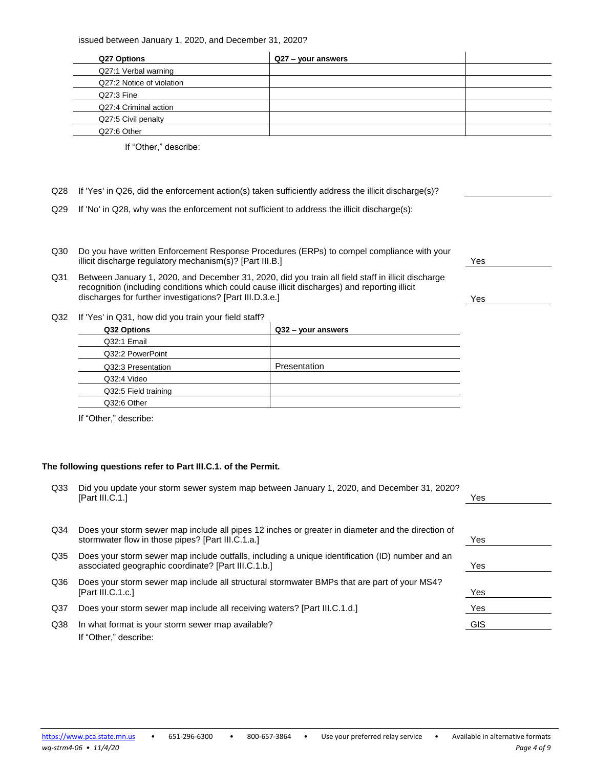issued between January 1, 2020, and December 31, 2020?

| Q27 Options               | Q27 – your answers |  |
|---------------------------|--------------------|--|
| Q27:1 Verbal warning      |                    |  |
| Q27:2 Notice of violation |                    |  |
| Q27:3 Fine                |                    |  |
| Q27:4 Criminal action     |                    |  |
| Q27:5 Civil penalty       |                    |  |
| Q27:6 Other               |                    |  |

If "Other," describe:

- Q28 If 'Yes' in Q26, did the enforcement action(s) taken sufficiently address the illicit discharge(s)?
- Q29 If 'No' in Q28, why was the enforcement not sufficient to address the illicit discharge(s):
- Q30 Do you have written Enforcement Response Procedures (ERPs) to compel compliance with your illicit discharge regulatory mechanism(s)? [Part III.B.] Yes
- Q31 Between January 1, 2020, and December 31, 2020, did you train all field staff in illicit discharge recognition (including conditions which could cause illicit discharges) and reporting illicit discharges for further investigations? [Part III.D.3.e.] Yes
- Q32 If 'Yes' in Q31, how did you train your field staff?

| Q32 Options          | Q32 - your answers |
|----------------------|--------------------|
| Q32:1 Email          |                    |
| Q32:2 PowerPoint     |                    |
| Q32:3 Presentation   | Presentation       |
| Q32:4 Video          |                    |
| Q32:5 Field training |                    |
| Q32:6 Other          |                    |
|                      |                    |

If "Other," describe:

#### **The following questions refer to Part III.C.1. of the Permit.**

| Q33             | Did you update your storm sewer system map between January 1, 2020, and December 31, 2020?<br>[Part III.C.1.]                                           | Yes |
|-----------------|---------------------------------------------------------------------------------------------------------------------------------------------------------|-----|
|                 |                                                                                                                                                         |     |
| Q34             | Does your storm sewer map include all pipes 12 inches or greater in diameter and the direction of<br>stormwater flow in those pipes? [Part III.C.1.a.]  | Yes |
| Q35             | Does your storm sewer map include outfalls, including a unique identification (ID) number and an<br>associated geographic coordinate? [Part III.C.1.b.] | Yes |
| Q36             | Does your storm sewer map include all structural stormwater BMPs that are part of your MS4?<br>[Part III.C.1.c.]                                        | Yes |
| Q <sub>37</sub> | Does your storm sewer map include all receiving waters? [Part III.C.1.d.]                                                                               | Yes |
| Q38             | In what format is your storm sewer map available?<br>If "Other." describe:                                                                              | GIS |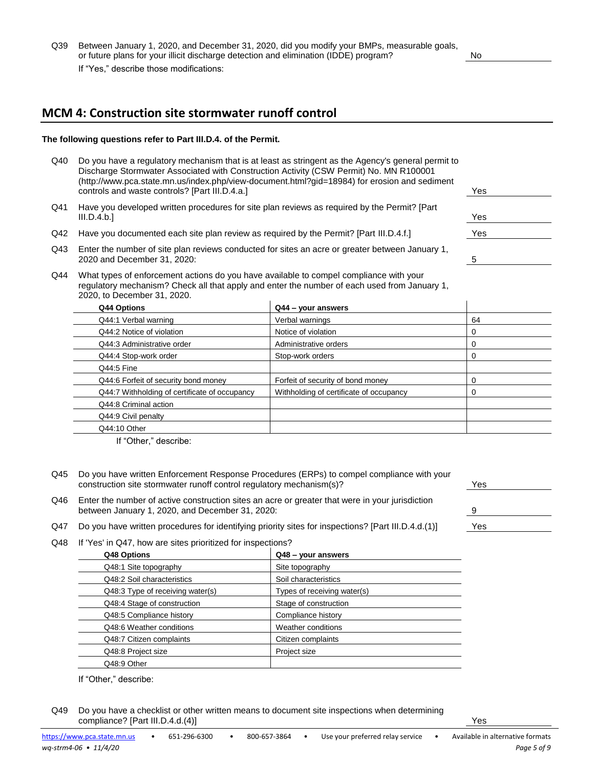Q39 Between January 1, 2020, and December 31, 2020, did you modify your BMPs, measurable goals, or future plans for your illicit discharge detection and elimination (IDDE) program? No If "Yes," describe those modifications:

# **MCM 4: Construction site stormwater runoff control**

#### **The following questions refer to Part III.D.4. of the Permit.**

- Q40 Do you have a regulatory mechanism that is at least as stringent as the Agency's general permit to Discharge Stormwater Associated with Construction Activity (CSW Permit) No. MN R100001 (http://www.pca.state.mn.us/index.php/view-document.html?gid=18984) for erosion and sediment controls and waste controls? [Part III.D.4.a.] Yes
- Q41 Have you developed written procedures for site plan reviews as required by the Permit? [Part III.D.4.b.] Yes
- Q42 Have you documented each site plan review as required by the Permit? [Part III.D.4.f.] Yes
- Q43 Enter the number of site plan reviews conducted for sites an acre or greater between January 1, 2020 and December 31, 2020: 5
- Q44 What types of enforcement actions do you have available to compel compliance with your regulatory mechanism? Check all that apply and enter the number of each used from January 1, 2020, to December 31, 2020.

| Q44 Options                                   | $Q44 -$ your answers                    |    |  |
|-----------------------------------------------|-----------------------------------------|----|--|
| Q44:1 Verbal warning                          | Verbal warnings                         | 64 |  |
| Q44:2 Notice of violation                     | Notice of violation                     | 0  |  |
| Q44:3 Administrative order                    | Administrative orders                   | 0  |  |
| Q44:4 Stop-work order                         | Stop-work orders                        | 0  |  |
| Q44:5 Fine                                    |                                         |    |  |
| Q44:6 Forfeit of security bond money          | Forfeit of security of bond money       | 0  |  |
| Q44:7 Withholding of certificate of occupancy | Withholding of certificate of occupancy | 0  |  |
| Q44:8 Criminal action                         |                                         |    |  |
| Q44:9 Civil penalty                           |                                         |    |  |
| Q44:10 Other                                  |                                         |    |  |

If "Other," describe:

- Q45 Do you have written Enforcement Response Procedures (ERPs) to compel compliance with your construction site stormwater runoff control regulatory mechanism(s)?
- Q46 Enter the number of active construction sites an acre or greater that were in your jurisdiction between January 1, 2020, and December 31, 2020:
- Q47 Do you have written procedures for identifying priority sites for inspections? [Part III.D.4.d.(1)]
- Q48 If 'Yes' in Q47, how are sites prioritized for inspections?

| Q48 Options                      | Q48 - your answers          |  |
|----------------------------------|-----------------------------|--|
| Q48:1 Site topography            | Site topography             |  |
| Q48:2 Soil characteristics       | Soil characteristics        |  |
| Q48:3 Type of receiving water(s) | Types of receiving water(s) |  |
| Q48:4 Stage of construction      | Stage of construction       |  |
| Q48:5 Compliance history         | Compliance history          |  |
| Q48:6 Weather conditions         | Weather conditions          |  |
| Q48:7 Citizen complaints         | Citizen complaints          |  |
| Q48:8 Project size               | Project size                |  |
| Q48:9 Other                      |                             |  |

If "Other," describe:

Q49 Do you have a checklist or other written means to document site inspections when determining compliance? [Part III.D.4.d.(4)] Yes

| Y es |  |
|------|--|
|      |  |
|      |  |
| 9    |  |
|      |  |
| Yes  |  |
|      |  |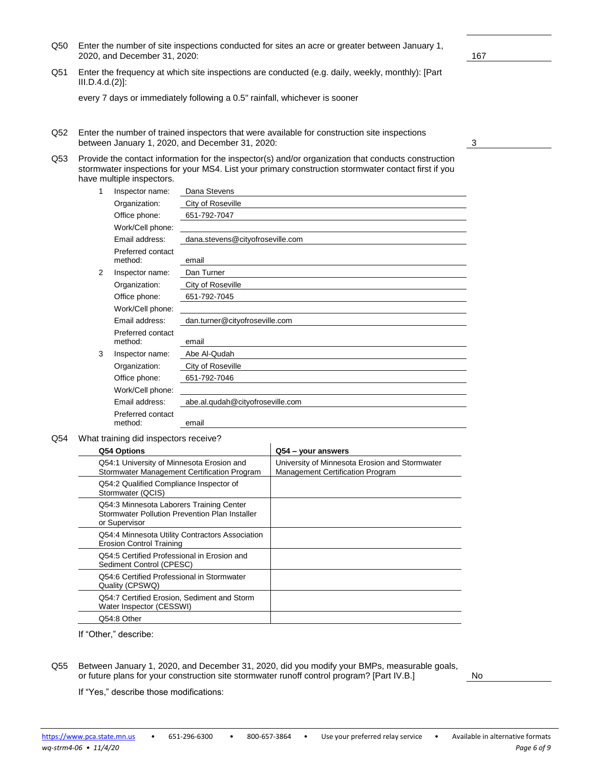- 
- Q50 Enter the number of site inspections conducted for sites an acre or greater between January 1, 2020, and December 31, 2020: 167
- Q51 Enter the frequency at which site inspections are conducted (e.g. daily, weekly, monthly): [Part III.D.4.d.(2)]:

every 7 days or immediately following a 0.5" rainfall, whichever is sooner

Q52 Enter the number of trained inspectors that were available for construction site inspections between January 1, 2020, and December 31, 2020: 3

| Q53 Provide the contact information for the inspector(s) and/or organization that conducts construction |
|---------------------------------------------------------------------------------------------------------|
| stormwater inspections for your MS4. List your primary construction stormwater contact first if you     |
| have multiple inspectors.                                                                               |

| 1 | Inspector name:              | Dana Stevens                     |
|---|------------------------------|----------------------------------|
|   | Organization:                | City of Roseville                |
|   | Office phone:                | 651-792-7047                     |
|   | Work/Cell phone:             |                                  |
|   | Email address:               | dana.stevens@cityofroseville.com |
|   | Preferred contact<br>method: | email                            |
| 2 | Inspector name:              | Dan Turner                       |
|   | Organization:                | City of Roseville                |
|   | Office phone:                | 651-792-7045                     |
|   | Work/Cell phone:             |                                  |
|   | Email address:               | dan.turner@cityofroseville.com   |
|   | Preferred contact<br>method: | email                            |
| 3 | Inspector name:              | Abe Al-Qudah                     |
|   | Organization:                | City of Roseville                |
|   | Office phone:                | 651-792-7046                     |
|   | Work/Cell phone:             |                                  |
|   | Email address:               | abe.al.qudah@cityofroseville.com |
|   | Preferred contact<br>method: | email                            |

Q54 What training did inspectors receive?

| University of Minnesota Erosion and Stormwater<br>Q54:1 University of Minnesota Erosion and<br>Stormwater Management Certification Program<br><b>Management Certification Program</b><br>Q54:2 Qualified Compliance Inspector of<br>Stormwater (QCIS)<br>Q54:3 Minnesota Laborers Training Center<br>Stormwater Pollution Prevention Plan Installer<br>or Supervisor<br>Q54:4 Minnesota Utility Contractors Association<br><b>Erosion Control Training</b><br>Q54:5 Certified Professional in Erosion and<br>Sediment Control (CPESC)<br>Q54:6 Certified Professional in Stormwater<br>Quality (CPSWQ)<br>Q54:7 Certified Erosion, Sediment and Storm<br>Water Inspector (CESSWI)<br>Q54:8 Other | Q54 Options | Q54 – your answers |
|--------------------------------------------------------------------------------------------------------------------------------------------------------------------------------------------------------------------------------------------------------------------------------------------------------------------------------------------------------------------------------------------------------------------------------------------------------------------------------------------------------------------------------------------------------------------------------------------------------------------------------------------------------------------------------------------------|-------------|--------------------|
|                                                                                                                                                                                                                                                                                                                                                                                                                                                                                                                                                                                                                                                                                                  |             |                    |
|                                                                                                                                                                                                                                                                                                                                                                                                                                                                                                                                                                                                                                                                                                  |             |                    |
|                                                                                                                                                                                                                                                                                                                                                                                                                                                                                                                                                                                                                                                                                                  |             |                    |
|                                                                                                                                                                                                                                                                                                                                                                                                                                                                                                                                                                                                                                                                                                  |             |                    |
|                                                                                                                                                                                                                                                                                                                                                                                                                                                                                                                                                                                                                                                                                                  |             |                    |
|                                                                                                                                                                                                                                                                                                                                                                                                                                                                                                                                                                                                                                                                                                  |             |                    |
|                                                                                                                                                                                                                                                                                                                                                                                                                                                                                                                                                                                                                                                                                                  |             |                    |
|                                                                                                                                                                                                                                                                                                                                                                                                                                                                                                                                                                                                                                                                                                  |             |                    |

If "Other," describe:

If "Yes," describe those modifications:

Q55 Between January 1, 2020, and December 31, 2020, did you modify your BMPs, measurable goals, or future plans for your construction site stormwater runoff control program? [Part IV.B.]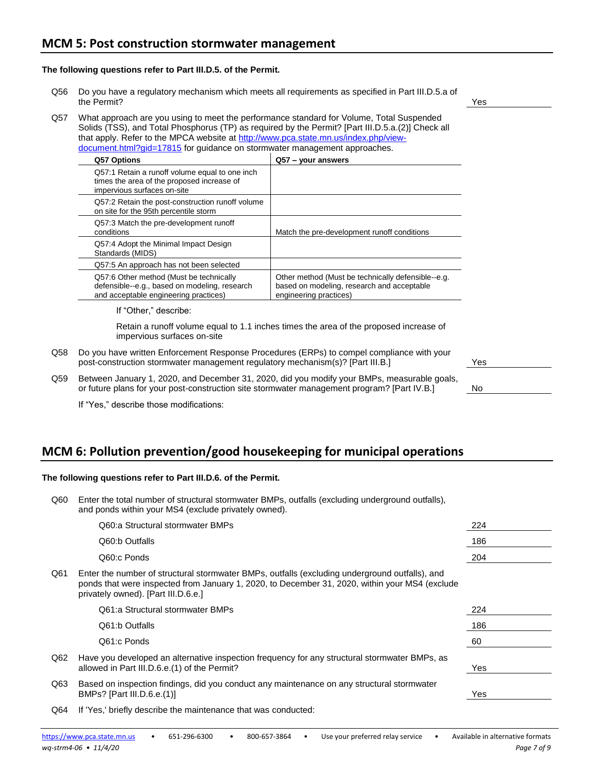#### **The following questions refer to Part III.D.5. of the Permit.**

- Q56 Do you have a regulatory mechanism which meets all requirements as specified in Part III.D.5.a of the Permit? Yes
- Q57 What approach are you using to meet the performance standard for Volume, Total Suspended Solids (TSS), and Total Phosphorus (TP) as required by the Permit? [Part III.D.5.a.(2)] Check all that apply. Refer to the MPCA website at [http://www.pca.state.mn.us/index.php/view](http://www.pca.state.mn.us/index.php/view-document.html?gid=17815)[document.html?gid=17815](http://www.pca.state.mn.us/index.php/view-document.html?gid=17815) for guidance on stormwater management approaches.

| Q57 Options                                                                                                                       | Q57 – your answers                                                                                                         |
|-----------------------------------------------------------------------------------------------------------------------------------|----------------------------------------------------------------------------------------------------------------------------|
| Q57:1 Retain a runoff volume equal to one inch<br>times the area of the proposed increase of<br>impervious surfaces on-site       |                                                                                                                            |
| Q57:2 Retain the post-construction runoff volume<br>on site for the 95th percentile storm                                         |                                                                                                                            |
| Q57:3 Match the pre-development runoff<br>conditions                                                                              | Match the pre-development runoff conditions                                                                                |
| Q57:4 Adopt the Minimal Impact Design<br>Standards (MIDS)                                                                         |                                                                                                                            |
| Q57:5 An approach has not been selected                                                                                           |                                                                                                                            |
| Q57:6 Other method (Must be technically<br>defensible--e.g., based on modeling, research<br>and acceptable engineering practices) | Other method (Must be technically defensible--e.g.<br>based on modeling, research and acceptable<br>engineering practices) |

If "Other," describe:

Retain a runoff volume equal to 1.1 inches times the area of the proposed increase of impervious surfaces on-site

- Q58 Do you have written Enforcement Response Procedures (ERPs) to compel compliance with your post-construction stormwater management regulatory mechanism(s)? [Part III.B.]
- Q59 Between January 1, 2020, and December 31, 2020, did you modify your BMPs, measurable goals, or future plans for your post-construction site stormwater management program? [Part IV.B.]

If "Yes," describe those modifications:

# **MCM 6: Pollution prevention/good housekeeping for municipal operations**

#### **The following questions refer to Part III.D.6. of the Permit.**

|                                                      | Q60 Enter the total number of structural stormwater BMPs, outfalls (excluding underground outfalls), |
|------------------------------------------------------|------------------------------------------------------------------------------------------------------|
| and ponds within your MS4 (exclude privately owned). |                                                                                                      |

|     | Q60:a Structural stormwater BMPs                                                                                                                                                                                                        | 224 |
|-----|-----------------------------------------------------------------------------------------------------------------------------------------------------------------------------------------------------------------------------------------|-----|
|     | Q60:b Outfalls                                                                                                                                                                                                                          | 186 |
|     | Q60:c Ponds                                                                                                                                                                                                                             | 204 |
| Q61 | Enter the number of structural stormwater BMPs, outfalls (excluding underground outfalls), and<br>ponds that were inspected from January 1, 2020, to December 31, 2020, within your MS4 (exclude<br>privately owned). [Part III.D.6.e.] |     |
|     | Q61:a Structural stormwater BMPs                                                                                                                                                                                                        | 224 |
|     | Q61:b Outfalls                                                                                                                                                                                                                          | 186 |
|     | Q61:c Ponds                                                                                                                                                                                                                             | 60  |
| Q62 | Have you developed an alternative inspection frequency for any structural stormwater BMPs, as<br>allowed in Part III.D.6.e. (1) of the Permit?                                                                                          | Yes |
| Q63 | Based on inspection findings, did you conduct any maintenance on any structural stormwater<br>BMPs? [Part III.D.6.e.(1)]                                                                                                                | Yes |
|     |                                                                                                                                                                                                                                         |     |

Q64 If 'Yes,' briefly describe the maintenance that was conducted:

|    | Yes |  |
|----|-----|--|
|    |     |  |
| ŝ, |     |  |
|    | No  |  |
|    |     |  |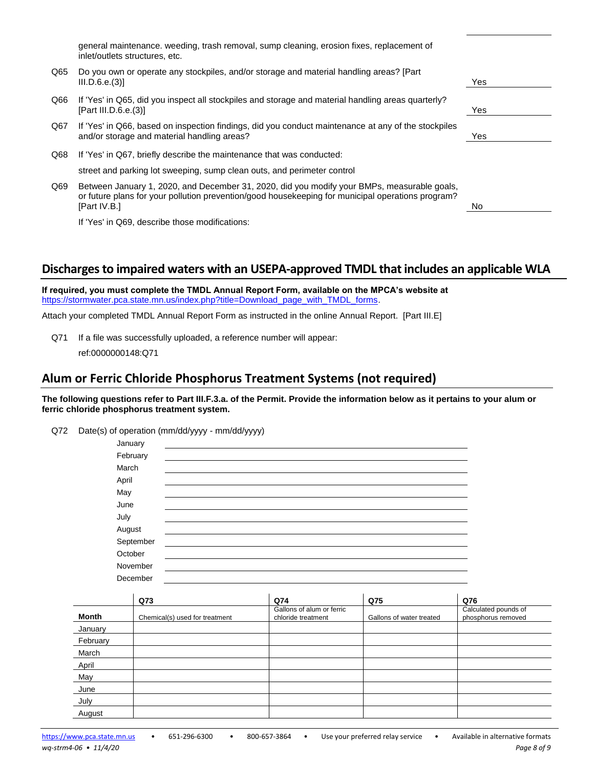|     | general maintenance, weeding, trash removal, sump cleaning, erosion fixes, replacement of<br>inlet/outlets structures, etc.                                                                                      |     |
|-----|------------------------------------------------------------------------------------------------------------------------------------------------------------------------------------------------------------------|-----|
| Q65 | Do you own or operate any stockpiles, and/or storage and material handling areas? [Part]<br>III.D.6.e.(3)]                                                                                                       | Yes |
| Q66 | If 'Yes' in Q65, did you inspect all stockpiles and storage and material handling areas quarterly?<br>[Part III.D.6.e. $(3)$ ]                                                                                   | Yes |
| Q67 | If 'Yes' in Q66, based on inspection findings, did you conduct maintenance at any of the stockpiles<br>and/or storage and material handling areas?                                                               | Yes |
| Q68 | If 'Yes' in Q67, briefly describe the maintenance that was conducted:                                                                                                                                            |     |
|     | street and parking lot sweeping, sump clean outs, and perimeter control                                                                                                                                          |     |
| Q69 | Between January 1, 2020, and December 31, 2020, did you modify your BMPs, measurable goals,<br>or future plans for your pollution prevention/good housekeeping for municipal operations program?<br>[Part IV.B.] | No. |
|     | If 'Yes' in O69, describe those modifications:                                                                                                                                                                   |     |

### **Discharges to impaired waters with an USEPA-approved TMDL that includes an applicable WLA**

**If required, you must complete the TMDL Annual Report Form, available on the MPCA's website at** [https://stormwater.pca.state.mn.us/index.php?title=Download\\_page\\_with\\_TMDL\\_forms.](https://stormwater.pca.state.mn.us/index.php?title=Download_page_with_TMDL_forms)

Attach your completed TMDL Annual Report Form as instructed in the online Annual Report. [Part III.E]

Q71 If a file was successfully uploaded, a reference number will appear:

ref:0000000148:Q71

### **Alum or Ferric Chloride Phosphorus Treatment Systems (not required)**

#### **The following questions refer to Part III.F.3.a. of the Permit. Provide the information below as it pertains to your alum or ferric chloride phosphorus treatment system.**

Q72 Date(s) of operation (mm/dd/yyyy - mm/dd/yyyy)

| January   |  |  |  |
|-----------|--|--|--|
| February  |  |  |  |
| March     |  |  |  |
| April     |  |  |  |
| May       |  |  |  |
| June      |  |  |  |
| July      |  |  |  |
| August    |  |  |  |
| September |  |  |  |
| October   |  |  |  |
| November  |  |  |  |
| December  |  |  |  |

|          | Q73                            | Q74                                             | Q75                      | Q76                                        |
|----------|--------------------------------|-------------------------------------------------|--------------------------|--------------------------------------------|
| Month    | Chemical(s) used for treatment | Gallons of alum or ferric<br>chloride treatment | Gallons of water treated | Calculated pounds of<br>phosphorus removed |
| January  |                                |                                                 |                          |                                            |
| February |                                |                                                 |                          |                                            |
| March    |                                |                                                 |                          |                                            |
| April    |                                |                                                 |                          |                                            |
| May      |                                |                                                 |                          |                                            |
| June     |                                |                                                 |                          |                                            |
| July     |                                |                                                 |                          |                                            |
| August   |                                |                                                 |                          |                                            |